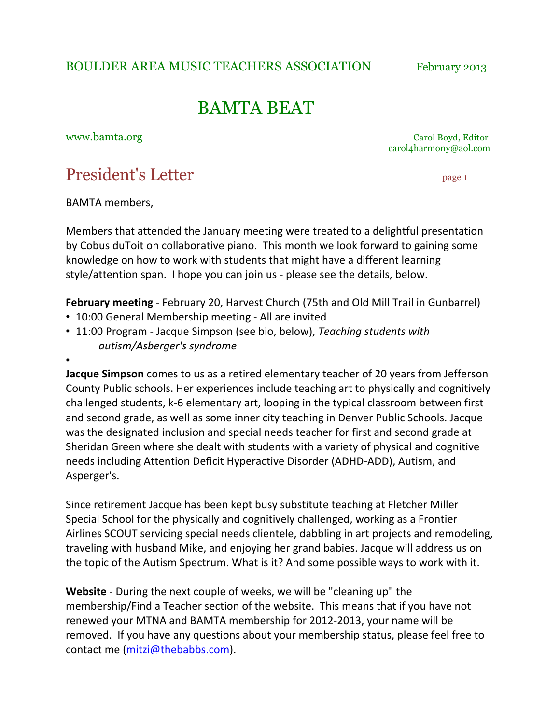BOULDER AREA MUSIC TEACHERS ASSOCIATION February 2013

# BAMTA BEAT

www.bamta.org Carol Boyd, Editor Carol Boyd, Editor Carol Boyd, Editor Carol Boyd, Editor Carol Boyd, Editor Carol Boyd, Editor Carol Boyd, Editor Carol Boyd, Editor Carol Boyd, Editor Carol Boyd, Editor Carol Boyd, Editor carol4harmony@aol.com

## President's Letter page 1

BAMTA members.

•

Members that attended the January meeting were treated to a delightful presentation by Cobus duToit on collaborative piano. This month we look forward to gaining some knowledge on how to work with students that might have a different learning style/attention span. I hope you can join us - please see the details, below.

**February meeting** - February 20, Harvest Church (75th and Old Mill Trail in Gunbarrel)

- 10:00 General Membership meeting All are invited
- 11:00 Program Jacque Simpson (see bio, below), *Teaching students with autism/Asberger's)syndrome*

**Jacque Simpson** comes to us as a retired elementary teacher of 20 years from Jefferson County Public schools. Her experiences include teaching art to physically and cognitively challenged students, k-6 elementary art, looping in the typical classroom between first and second grade, as well as some inner city teaching in Denver Public Schools. Jacque was the designated inclusion and special needs teacher for first and second grade at Sheridan Green where she dealt with students with a variety of physical and cognitive needs including Attention Deficit Hyperactive Disorder (ADHD-ADD), Autism, and Asperger's.

Since retirement Jacque has been kept busy substitute teaching at Fletcher Miller Special School for the physically and cognitively challenged, working as a Frontier Airlines SCOUT servicing special needs clientele, dabbling in art projects and remodeling, traveling with husband Mike, and enjoying her grand babies. Jacque will address us on the topic of the Autism Spectrum. What is it? And some possible ways to work with it.

**Website** - During the next couple of weeks, we will be "cleaning up" the membership/Find a Teacher section of the website. This means that if you have not renewed your MTNA and BAMTA membership for 2012-2013, your name will be removed. If you have any questions about your membership status, please feel free to contact me (mitzi@thebabbs.com).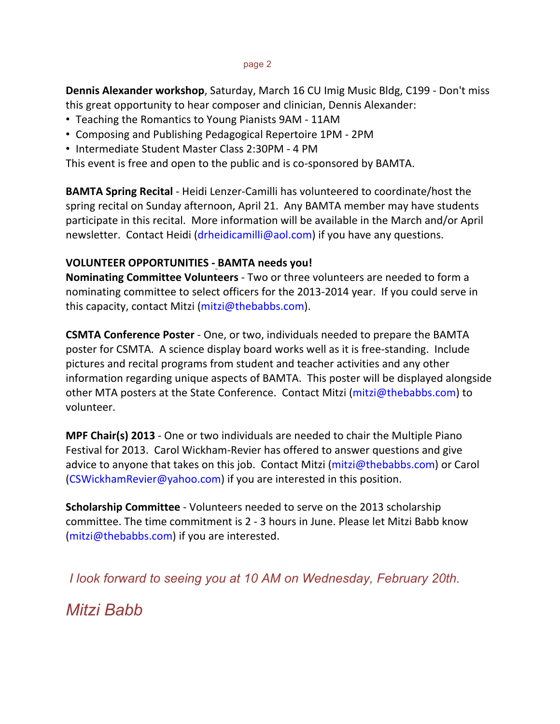#### page 2

**Dennis Alexander workshop**, Saturday, March 16 CU Imig Music Bldg, C199 - Don't miss this great opportunity to hear composer and clinician, Dennis Alexander:

- Teaching the Romantics to Young Pianists 9AM 11AM
- Composing and Publishing Pedagogical Repertoire 1PM 2PM
- Intermediate Student Master Class 2:30PM 4 PM

This event is free and open to the public and is co-sponsored by BAMTA.

**BAMTA Spring Recital** - Heidi Lenzer-Camilli has volunteered to coordinate/host the spring recital on Sunday afternoon, April 21. Any BAMTA member may have students participate in this recital. More information will be available in the March and/or April newsletter. Contact Heidi (drheidicamilli@aol.com) if you have any questions.

#### **VOLUNTEER OPPORTUNITIES - BAMTA needs you!**

**Nominating Committee Volunteers** - Two or three volunteers are needed to form a nominating committee to select officers for the 2013-2014 year. If you could serve in this capacity, contact Mitzi (mitzi@thebabbs.com).

**CSMTA Conference Poster** - One, or two, individuals needed to prepare the BAMTA poster for CSMTA. A science display board works well as it is free-standing. Include pictures and recital programs from student and teacher activities and any other information regarding unique aspects of BAMTA. This poster will be displayed alongside other MTA posters at the State Conference. Contact Mitzi (mitzi@thebabbs.com) to volunteer.

**MPF Chair(s) 2013** - One or two individuals are needed to chair the Multiple Piano Festival for 2013. Carol Wickham-Revier has offered to answer questions and give advice to anyone that takes on this job. Contact Mitzi (mitzi@thebabbs.com) or Carol  $(CSWickhamReviewer@yahoo.com)$  if you are interested in this position.

**Scholarship Committee** - Volunteers needed to serve on the 2013 scholarship committee. The time commitment is 2 - 3 hours in June. Please let Mitzi Babb know  $(mitzi@thebabbs.com)$  if you are interested.

*I look forward to seeing you at 10 AM on Wednesday, February 20th.*

*Mitzi Babb*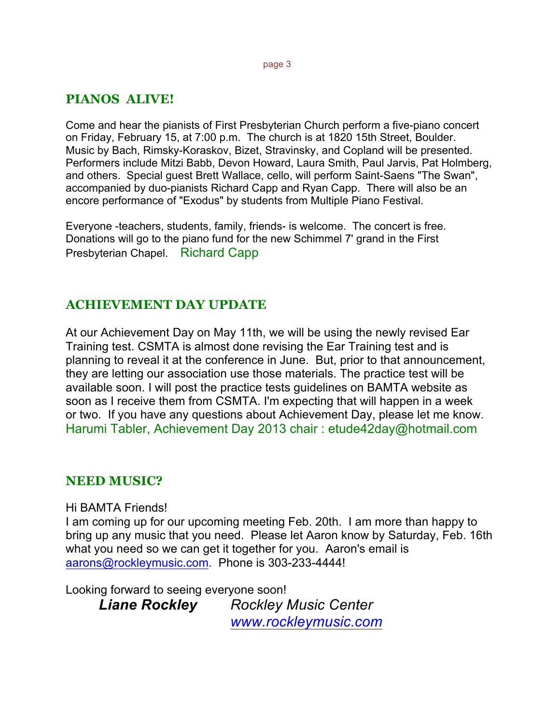#### page 3

### **PIANOS ALIVE!**

Come and hear the pianists of First Presbyterian Church perform a five-piano concert on Friday, February 15, at 7:00 p.m. The church is at 1820 15th Street, Boulder. Music by Bach, Rimsky-Koraskov, Bizet, Stravinsky, and Copland will be presented. Performers include Mitzi Babb, Devon Howard, Laura Smith, Paul Jarvis, Pat Holmberg, and others. Special guest Brett Wallace, cello, will perform Saint-Saens "The Swan", accompanied by duo-pianists Richard Capp and Ryan Capp. There will also be an encore performance of "Exodus" by students from Multiple Piano Festival.

Everyone -teachers, students, family, friends- is welcome. The concert is free. Donations will go to the piano fund for the new Schimmel 7' grand in the First Presbyterian Chapel. Richard Capp

#### **ACHIEVEMENT DAY UPDATE**

At our Achievement Day on May 11th, we will be using the newly revised Ear Training test. CSMTA is almost done revising the Ear Training test and is planning to reveal it at the conference in June. But, prior to that announcement, they are letting our association use those materials. The practice test will be available soon. I will post the practice tests guidelines on BAMTA website as soon as I receive them from CSMTA. I'm expecting that will happen in a week or two. If you have any questions about Achievement Day, please let me know. Harumi Tabler, Achievement Day 2013 chair : etude42day@hotmail.com

#### **NEED MUSIC?**

Hi BAMTA Friends!

I am coming up for our upcoming meeting Feb. 20th. I am more than happy to bring up any music that you need. Please let Aaron know by Saturday, Feb. 16th what you need so we can get it together for you. Aaron's email is aarons@rockleymusic.com. Phone is 303-233-4444!

Looking forward to seeing everyone soon!

*Liane Rockley Rockley Music Center www.rockleymusic.com*